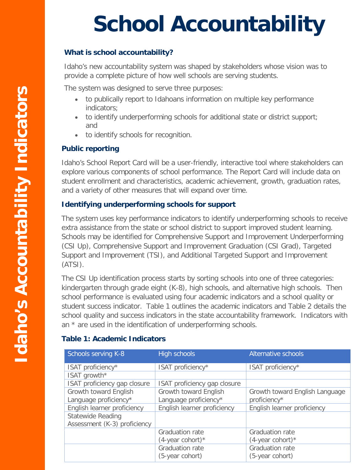# **School Accountability**

#### **What is school accountability?**

 Idaho's new accountability system was shaped by stakeholders whose vision was to provide a complete picture of how well schools are serving students.

The system was designed to serve three purposes:

- • to publically report to Idahoans information on multiple key performance indicators;
- • to identify underperforming schools for additional state or district support; and
- to identify schools for recognition.

### **Public reporting**

 Idaho's School Report Card will be a user-friendly, interactive tool where stakeholders can explore various components of school performance. The Report Card will include data on and a variety of other measures that will expand over time. student enrollment and characteristics, academic achievement, growth, graduation rates,

#### **Identifying underperforming schools for support**

 The system uses key performance indicators to identify underperforming schools to receive extra assistance from the state or school district to support improved student learning. (CSI Up), Comprehensive Support and Improvement Graduation (CSI Grad), Targeted Ĩ Support and Improvement (TSI), and Additional Targeted Support and Improvement<br>(1791) Schools may be identified for Comprehensive Support and Improvement Underperforming (ATSI).

 The CSI Up identification process starts by sorting schools into one of three categories: kindergarten through grade eight (K-8), high schools, and alternative high schools. Then Ĩ school performance is evaluated using four academic indicators and a school quality or student success indicator. Table 1 outlines the academic indicators and Table 2 details the school quality and success indicators in the state accountability framework. Indicators with an \* are used in the identification of underperforming schools.

## **Table 1: Academic Indicators**

| Schools serving K-8          | <b>High schools</b>          | Alternative schools            |
|------------------------------|------------------------------|--------------------------------|
| ISAT proficiency*            | ISAT proficiency*            | ISAT proficiency*              |
| ISAT growth*                 |                              |                                |
| ISAT proficiency gap closure | ISAT proficiency gap closure |                                |
| Growth toward English        | Growth toward English        | Growth toward English Language |
| Language proficiency*        | Language proficiency*        | proficiency*                   |
| English learner proficiency  | English learner proficiency  | English learner proficiency    |
| <b>Statewide Reading</b>     |                              |                                |
| Assessment (K-3) proficiency |                              |                                |
|                              | <b>Graduation rate</b>       | <b>Graduation rate</b>         |
|                              | $(4$ -year cohort)*          | $(4$ -year cohort)*            |
|                              | <b>Graduation rate</b>       | <b>Graduation rate</b>         |
|                              | (5-year cohort)              | (5-year cohort)                |